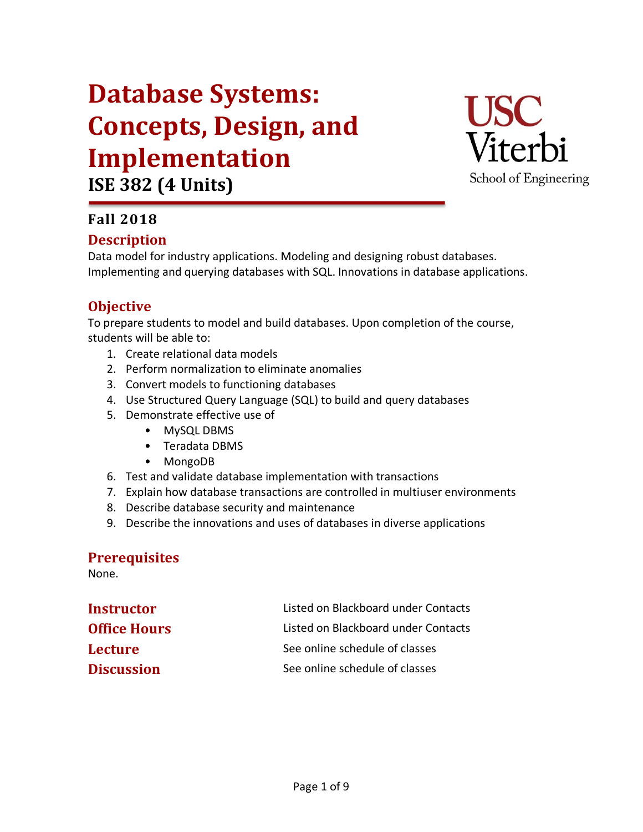# **Database Systems: Concepts, Design, and Implementation ISE 382 (4 Units)**



## **Fall 2018**

## **Description**

Data model for industry applications. Modeling and designing robust databases. Implementing and querying databases with SQL. Innovations in database applications.

## **Objective**

To prepare students to model and build databases. Upon completion of the course, students will be able to:

- 1. Create relational data models
- 2. Perform normalization to eliminate anomalies
- 3. Convert models to functioning databases
- 4. Use Structured Query Language (SQL) to build and query databases
- 5. Demonstrate effective use of
	- MySQL DBMS
	- Teradata DBMS
	- MongoDB
- 6. Test and validate database implementation with transactions
- 7. Explain how database transactions are controlled in multiuser environments
- 8. Describe database security and maintenance
- 9. Describe the innovations and uses of databases in diverse applications

#### **Prerequisites**

None.

| <b>Instructor</b>   | Listed on Blackboard under Contacts |
|---------------------|-------------------------------------|
| <b>Office Hours</b> | Listed on Blackboard under Contacts |
| <b>Lecture</b>      | See online schedule of classes      |
| <b>Discussion</b>   | See online schedule of classes      |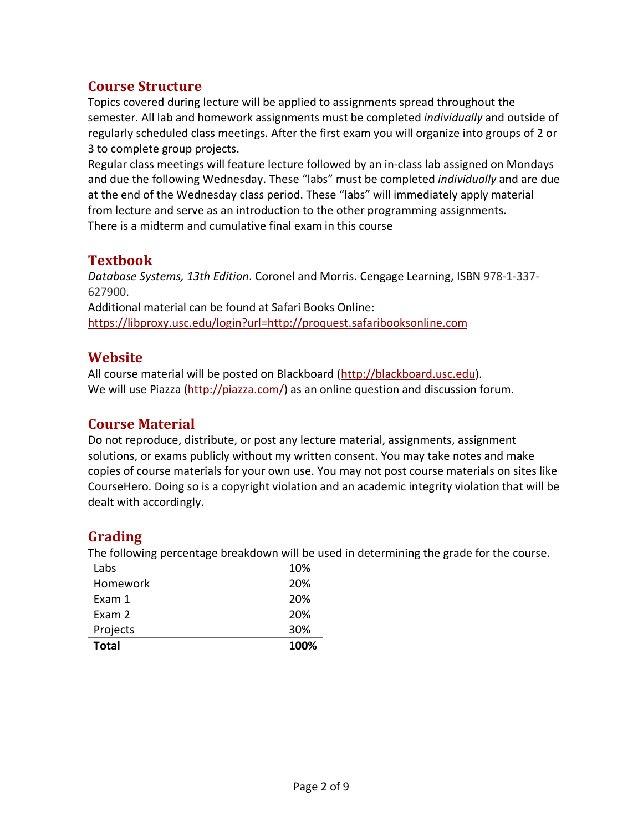## **Course Structure**

Topics covered during lecture will be applied to assignments spread throughout the semester. All lab and homework assignments must be completed *individually* and outside of regularly scheduled class meetings. After the first exam you will organize into groups of 2 or 3 to complete group projects.

Regular class meetings will feature lecture followed by an in-class lab assigned on Mondays and due the following Wednesday. These "labs" must be completed *individually* and are due at the end of the Wednesday class period. These "labs" will immediately apply material from lecture and serve as an introduction to the other programming assignments. There is a midterm and cumulative final exam in this course

## **Textbook**

*Database Systems, 13th Edition*. Coronel and Morris. Cengage Learning, ISBN 978-1-337- 627900. Additional material can be found at Safari Books Online: https://libproxy.usc.edu/login?url=http://proquest.safaribooksonline.com

## **Website**

All course material will be posted on Blackboard (http://blackboard.usc.edu). We will use Piazza (http://piazza.com/) as an online question and discussion forum.

## **Course Material**

Do not reproduce, distribute, or post any lecture material, assignments, assignment solutions, or exams publicly without my written consent. You may take notes and make copies of course materials for your own use. You may not post course materials on sites like CourseHero. Doing so is a copyright violation and an academic integrity violation that will be dealt with accordingly.

## **Grading**

The following percentage breakdown will be used in determining the grade for the course.

| <b>Total</b> | 100% |
|--------------|------|
| Projects     | 30%  |
| Exam 2       | 20%  |
| Exam 1       | 20%  |
| Homework     | 20%  |
| Labs         | 10%  |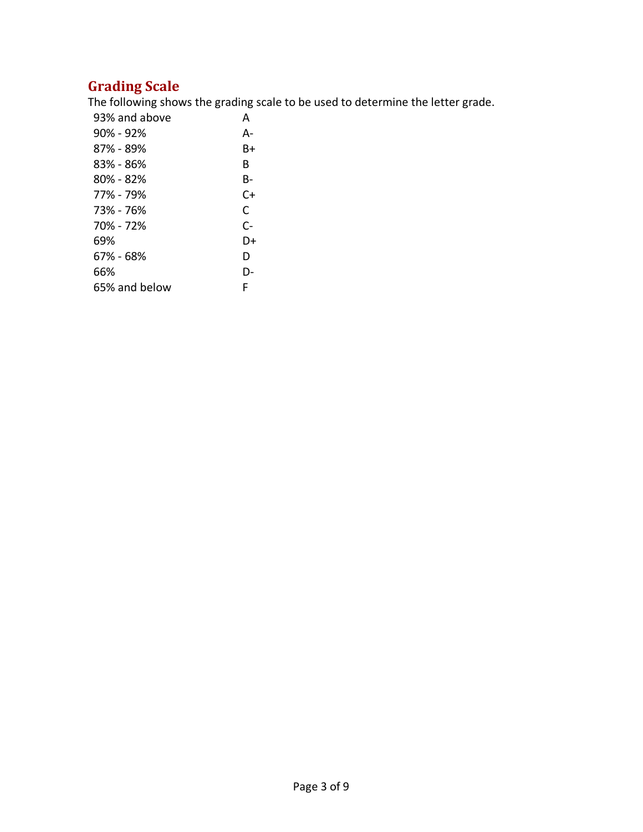## **Grading Scale**

The following shows the grading scale to be used to determine the letter grade.

| 93% and above | А    |
|---------------|------|
| $90\%$ - 92%  | А-   |
| 87% - 89%     | B+   |
| 83% - 86%     | B    |
| $80\% - 82\%$ | B-   |
| 77% - 79%     | $C+$ |
| 73% - 76%     | C    |
| 70% - 72%     | $C-$ |
| 69%           | D+   |
| 67% - 68%     | D    |
| 66%           | D-   |
| 65% and below | F    |
|               |      |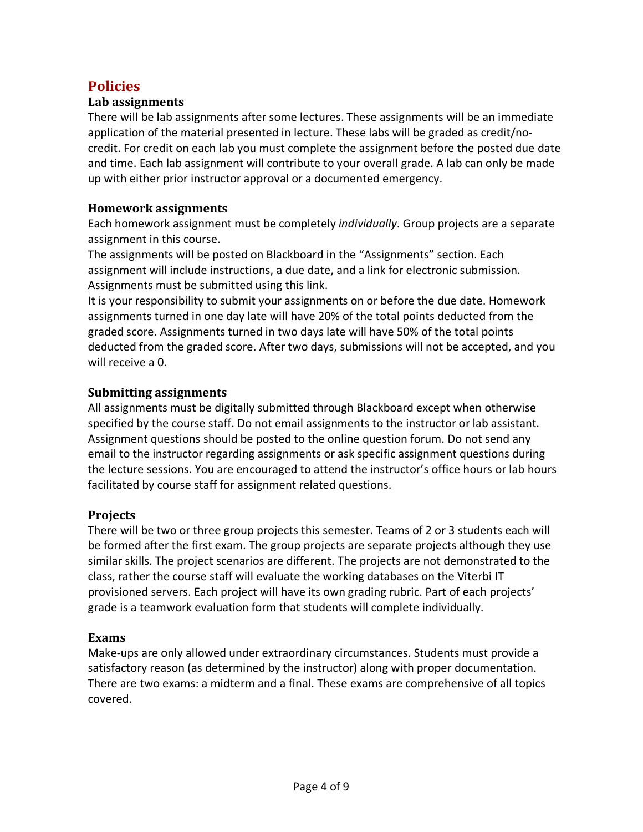## **Policies**

#### **Lab assignments**

There will be lab assignments after some lectures. These assignments will be an immediate application of the material presented in lecture. These labs will be graded as credit/nocredit. For credit on each lab you must complete the assignment before the posted due date and time. Each lab assignment will contribute to your overall grade. A lab can only be made up with either prior instructor approval or a documented emergency.

#### **Homework assignments**

Each homework assignment must be completely *individually*. Group projects are a separate assignment in this course.

The assignments will be posted on Blackboard in the "Assignments" section. Each assignment will include instructions, a due date, and a link for electronic submission. Assignments must be submitted using this link.

It is your responsibility to submit your assignments on or before the due date. Homework assignments turned in one day late will have 20% of the total points deducted from the graded score. Assignments turned in two days late will have 50% of the total points deducted from the graded score. After two days, submissions will not be accepted, and you will receive a 0.

#### **Submitting assignments**

All assignments must be digitally submitted through Blackboard except when otherwise specified by the course staff. Do not email assignments to the instructor or lab assistant. Assignment questions should be posted to the online question forum. Do not send any email to the instructor regarding assignments or ask specific assignment questions during the lecture sessions. You are encouraged to attend the instructor's office hours or lab hours facilitated by course staff for assignment related questions.

#### **Projects**

There will be two or three group projects this semester. Teams of 2 or 3 students each will be formed after the first exam. The group projects are separate projects although they use similar skills. The project scenarios are different. The projects are not demonstrated to the class, rather the course staff will evaluate the working databases on the Viterbi IT provisioned servers. Each project will have its own grading rubric. Part of each projects' grade is a teamwork evaluation form that students will complete individually.

#### **Exams**

Make-ups are only allowed under extraordinary circumstances. Students must provide a satisfactory reason (as determined by the instructor) along with proper documentation. There are two exams: a midterm and a final. These exams are comprehensive of all topics covered.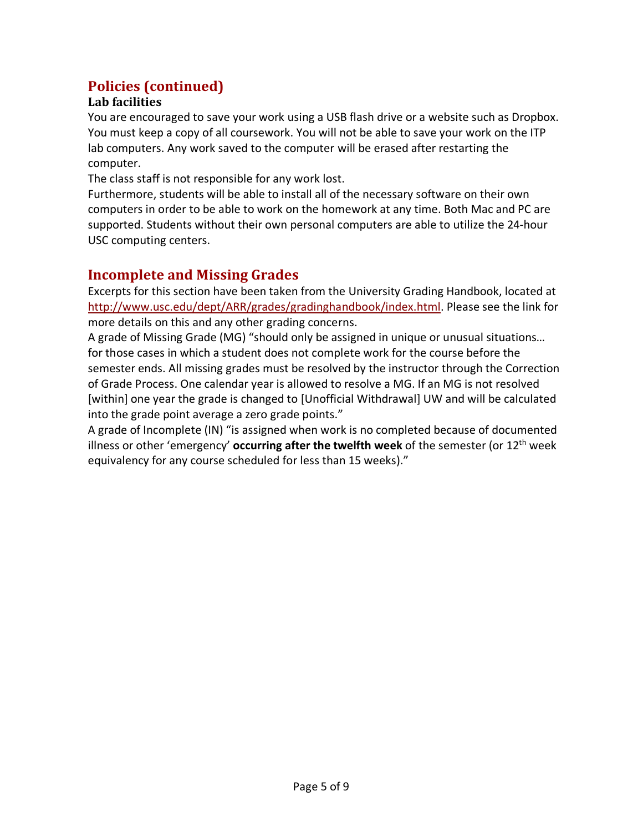## **Policies (continued)**

#### **Lab facilities**

You are encouraged to save your work using a USB flash drive or a website such as Dropbox. You must keep a copy of all coursework. You will not be able to save your work on the ITP lab computers. Any work saved to the computer will be erased after restarting the computer.

The class staff is not responsible for any work lost.

Furthermore, students will be able to install all of the necessary software on their own computers in order to be able to work on the homework at any time. Both Mac and PC are supported. Students without their own personal computers are able to utilize the 24-hour USC computing centers.

## **Incomplete and Missing Grades**

Excerpts for this section have been taken from the University Grading Handbook, located at http://www.usc.edu/dept/ARR/grades/gradinghandbook/index.html. Please see the link for more details on this and any other grading concerns.

A grade of Missing Grade (MG) "should only be assigned in unique or unusual situations… for those cases in which a student does not complete work for the course before the semester ends. All missing grades must be resolved by the instructor through the Correction of Grade Process. One calendar year is allowed to resolve a MG. If an MG is not resolved [within] one year the grade is changed to [Unofficial Withdrawal] UW and will be calculated into the grade point average a zero grade points."

A grade of Incomplete (IN) "is assigned when work is no completed because of documented illness or other 'emergency' **occurring after the twelfth week** of the semester (or 12th week equivalency for any course scheduled for less than 15 weeks)."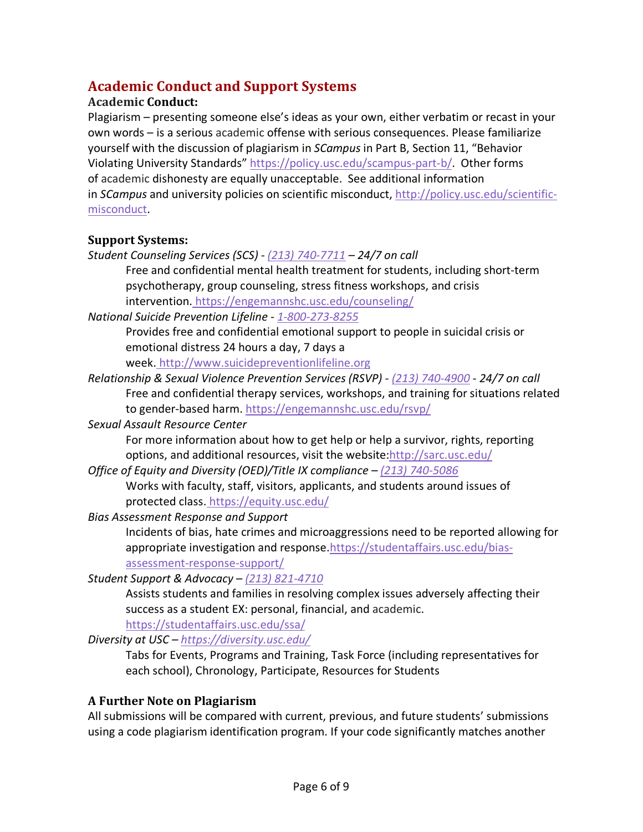## **Academic Conduct and Support Systems**

#### **Academic Conduct:**

Plagiarism – presenting someone else's ideas as your own, either verbatim or recast in your own words – is a serious academic offense with serious consequences. Please familiarize yourself with the discussion of plagiarism in *SCampus* in Part B, Section 11, "Behavior Violating University Standards" https://policy.usc.edu/scampus-part-b/. Other forms of academic dishonesty are equally unacceptable. See additional information in *SCampus* and university policies on scientific misconduct, http://policy.usc.edu/scientificmisconduct.

## **Support Systems:**

*Student Counseling Services (SCS) - (213) 740-7711 – 24/7 on call*

Free and confidential mental health treatment for students, including short-term psychotherapy, group counseling, stress fitness workshops, and crisis intervention. https://engemannshc.usc.edu/counseling/

*National Suicide Prevention Lifeline - 1-800-273-8255*

Provides free and confidential emotional support to people in suicidal crisis or emotional distress 24 hours a day, 7 days a

week. http://www.suicidepreventionlifeline.org

*Relationship & Sexual Violence Prevention Services (RSVP) - (213) 740-4900 - 24/7 on call* Free and confidential therapy services, workshops, and training for situations related to gender-based harm. https://engemannshc.usc.edu/rsvp/

*Sexual Assault Resource Center*

For more information about how to get help or help a survivor, rights, reporting options, and additional resources, visit the website:http://sarc.usc.edu/

- *Office of Equity and Diversity (OED)/Title IX compliance – (213) 740-5086* Works with faculty, staff, visitors, applicants, and students around issues of protected class. https://equity.usc.edu/
- *Bias Assessment Response and Support*

Incidents of bias, hate crimes and microaggressions need to be reported allowing for appropriate investigation and response.https://studentaffairs.usc.edu/biasassessment-response-support/

*Student Support & Advocacy – (213) 821-4710*

Assists students and families in resolving complex issues adversely affecting their success as a student EX: personal, financial, and academic.

https://studentaffairs.usc.edu/ssa/

*Diversity at USC – https://diversity.usc.edu/*

Tabs for Events, Programs and Training, Task Force (including representatives for each school), Chronology, Participate, Resources for Students

## **A Further Note on Plagiarism**

All submissions will be compared with current, previous, and future students' submissions using a code plagiarism identification program. If your code significantly matches another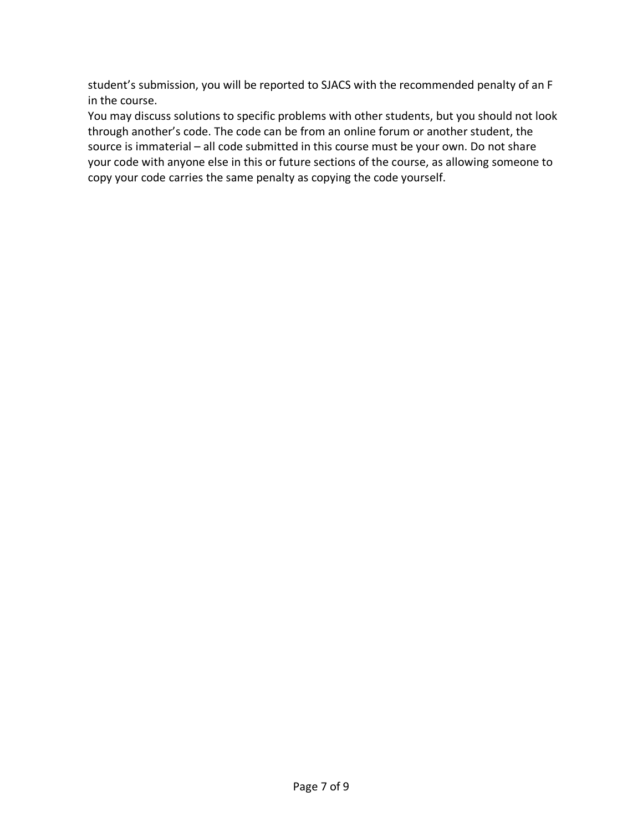student's submission, you will be reported to SJACS with the recommended penalty of an F in the course.

You may discuss solutions to specific problems with other students, but you should not look through another's code. The code can be from an online forum or another student, the source is immaterial – all code submitted in this course must be your own. Do not share your code with anyone else in this or future sections of the course, as allowing someone to copy your code carries the same penalty as copying the code yourself.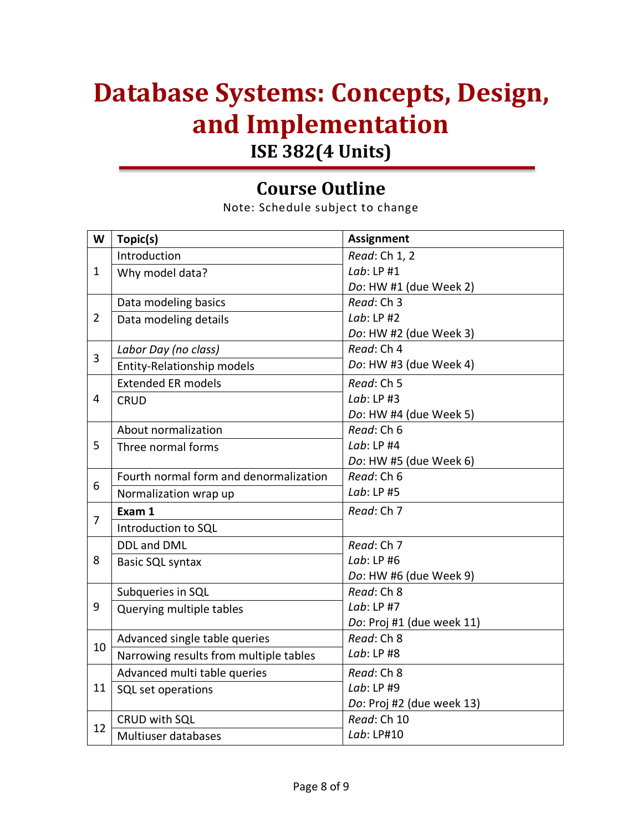## **Database Systems: Concepts, Design, and Implementation ISE 382(4 Units)**

## **Course Outline**

Note: Schedule subject to change

| W              | Topic(s)                               | <b>Assignment</b>         |
|----------------|----------------------------------------|---------------------------|
| $\mathbf{1}$   | Introduction                           | Read: Ch 1, 2             |
|                | Why model data?                        | Lab: LP#1                 |
|                |                                        | Do: HW #1 (due Week 2)    |
| $\overline{2}$ | Data modeling basics                   | Read: Ch 3                |
|                | Data modeling details                  | Lab: LP#2                 |
|                |                                        | Do: HW #2 (due Week 3)    |
| 3              | Labor Day (no class)                   | Read: Ch 4                |
|                | Entity-Relationship models             | Do: HW #3 (due Week 4)    |
|                | <b>Extended ER models</b>              | Read: Ch 5                |
| 4              | <b>CRUD</b>                            | Lab: $LP$ #3              |
|                |                                        | Do: HW #4 (due Week 5)    |
| 5              | About normalization                    | Read: Ch 6                |
|                | Three normal forms                     | Lab: LP #4                |
|                |                                        | Do: HW #5 (due Week 6)    |
| 6              | Fourth normal form and denormalization | Read: Ch 6                |
|                | Normalization wrap up                  | Lab: $LP$ #5              |
| $\overline{7}$ | Exam 1                                 | Read: Ch 7                |
|                | Introduction to SQL                    |                           |
|                | <b>DDL and DML</b>                     | Read: Ch 7                |
| 8              | Basic SQL syntax                       | Lab: $LP$ #6              |
|                |                                        | Do: HW #6 (due Week 9)    |
|                | Subqueries in SQL                      | Read: Ch 8                |
| 9              | Querying multiple tables               | $Lab: LP$ #7              |
|                |                                        | Do: Proj #1 (due week 11) |
| 10             | Advanced single table queries          | Read: Ch 8                |
|                | Narrowing results from multiple tables | Lab: LP #8                |
| 11             | Advanced multi table queries           | Read: Ch 8                |
|                | SQL set operations                     | Lab: $LP$ #9              |
|                |                                        | Do: Proj #2 (due week 13) |
| 12             | CRUD with SQL                          | Read: Ch 10               |
|                | Multiuser databases                    | Lab: LP#10                |